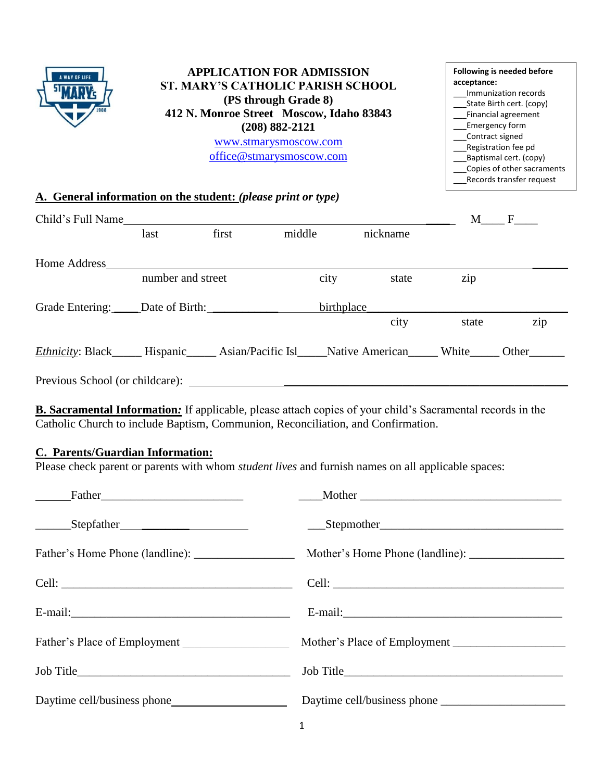

#### **APPLICATION FOR ADMISSION ST. MARY'S CATHOLIC PARISH SCHOOL (PS through Grade 8) 412 N. Monroe Street Moscow, Idaho 83843 (208) 882-2121** [www.stmarysmoscow.com](http://www.stmarysmoscow.com/) [office@stmarysmoscow.com](mailto:office@stmarysmoscow.com)

#### **Following is needed before acceptance:**  \_\_\_Immunization records \_\_\_State Birth cert. (copy) \_\_\_Financial agreement \_\_\_Emergency form \_\_\_Contract signed \_\_\_Registration fee pd \_\_\_Baptismal cert. (copy) \_\_\_Copies of other sacraments \_\_\_Records transfer request

## **A. General information on the student:** *(please print or type)*

| Child's Full Name                                                                                                  |                   |       |            |          | M     | $\mathbf{F}$ |
|--------------------------------------------------------------------------------------------------------------------|-------------------|-------|------------|----------|-------|--------------|
|                                                                                                                    | last              | first | middle     | nickname |       |              |
| Home Address                                                                                                       |                   |       |            |          |       |              |
|                                                                                                                    | number and street |       | city       | state    | zip   |              |
|                                                                                                                    |                   |       | birthplace |          |       |              |
|                                                                                                                    |                   |       |            | city     | state | zip          |
| <i>Ethnicity</i> : Black______ Hispanic______ Asian/Pacific Isl_____Native American______ White______ Other_______ |                   |       |            |          |       |              |
| Previous School (or childcare):                                                                                    |                   |       |            |          |       |              |

**B. Sacramental Information***:* If applicable, please attach copies of your child's Sacramental records in the Catholic Church to include Baptism, Communion, Reconciliation, and Confirmation.

## **C. Parents/Guardian Information:**

Please check parent or parents with whom *student lives* and furnish names on all applicable spaces:

| Father Father <b>Example 2014</b> |  |
|-----------------------------------|--|
|                                   |  |
|                                   |  |
|                                   |  |
|                                   |  |
| Father's Place of Employment      |  |
|                                   |  |
|                                   |  |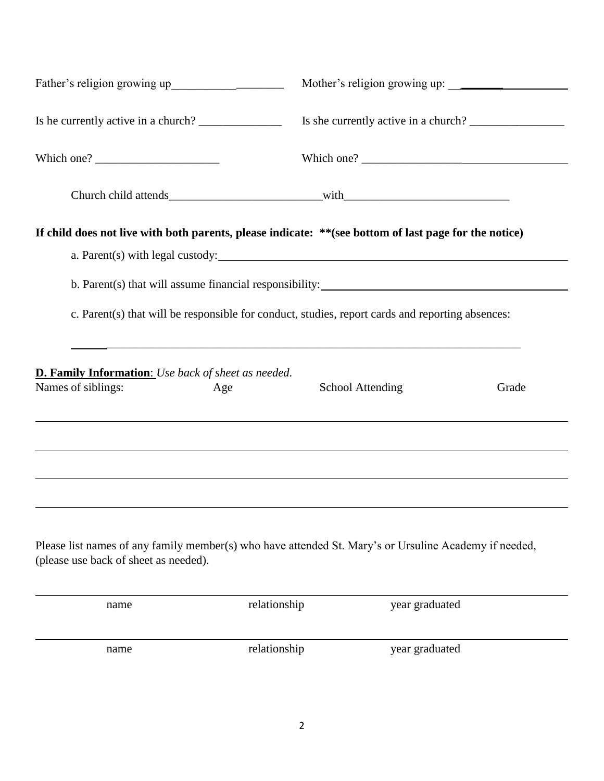| Is he currently active in a church?                                                                                                                                                                                                                                                                                                                                                            |                                                                                                                                                                                       | Is she currently active in a church? |       |
|------------------------------------------------------------------------------------------------------------------------------------------------------------------------------------------------------------------------------------------------------------------------------------------------------------------------------------------------------------------------------------------------|---------------------------------------------------------------------------------------------------------------------------------------------------------------------------------------|--------------------------------------|-------|
| Which one? $\frac{1}{\sqrt{1-\frac{1}{2}}}\left\{ \frac{1}{2} + \frac{1}{2} + \frac{1}{2} + \frac{1}{2} + \frac{1}{2} + \frac{1}{2} + \frac{1}{2} + \frac{1}{2} + \frac{1}{2} + \frac{1}{2} + \frac{1}{2} + \frac{1}{2} + \frac{1}{2} + \frac{1}{2} + \frac{1}{2} + \frac{1}{2} + \frac{1}{2} + \frac{1}{2} + \frac{1}{2} + \frac{1}{2} + \frac{1}{2} + \frac{1}{2} + \frac{1}{2} + \frac{1}{$ |                                                                                                                                                                                       |                                      |       |
|                                                                                                                                                                                                                                                                                                                                                                                                |                                                                                                                                                                                       |                                      |       |
| If child does not live with both parents, please indicate: ** (see bottom of last page for the notice)                                                                                                                                                                                                                                                                                         |                                                                                                                                                                                       |                                      |       |
|                                                                                                                                                                                                                                                                                                                                                                                                | c. Parent(s) that will be responsible for conduct, studies, report cards and reporting absences:<br>,我们也不能在这里的时候,我们也不能在这里的时候,我们也不能会在这里的时候,我们也不能会在这里的时候,我们也不能会在这里的时候,我们也不能会在这里的时候,我们也不 |                                      |       |
| <b>D. Family Information:</b> Use back of sheet as needed.<br>Names of siblings:                                                                                                                                                                                                                                                                                                               | Age<br>,我们也不会有什么。""我们的人,我们也不会有什么?""我们的人,我们也不会有什么?""我们的人,我们也不会有什么?""我们的人,我们也不会有什么?""我们的人                                                                                               | <b>School Attending</b>              | Grade |
| Please list names of any family member(s) who have attended St. Mary's or Ursuline Academy if needed,<br>(please use back of sheet as needed).                                                                                                                                                                                                                                                 |                                                                                                                                                                                       |                                      |       |
| name                                                                                                                                                                                                                                                                                                                                                                                           | relationship                                                                                                                                                                          | year graduated                       |       |
| name                                                                                                                                                                                                                                                                                                                                                                                           | relationship                                                                                                                                                                          | year graduated                       |       |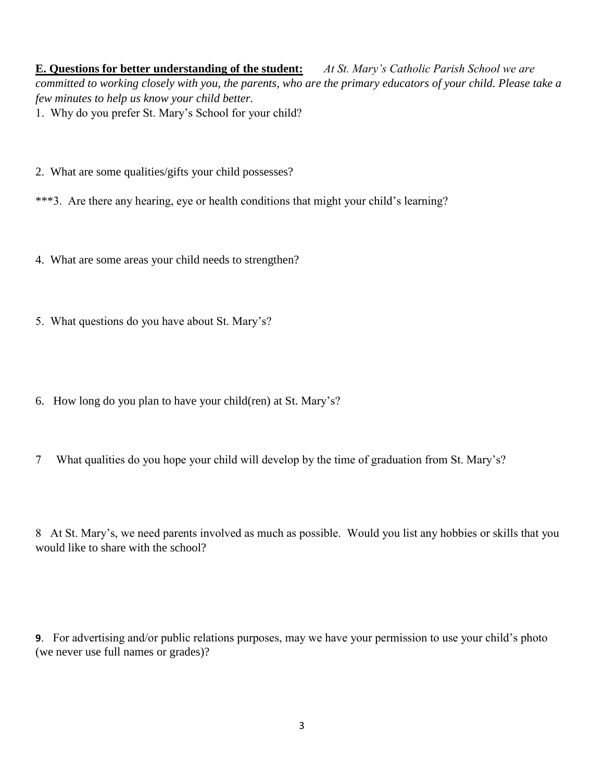**E. Questions for better understanding of the student:** *At St. Mary's Catholic Parish School we are committed to working closely with you, the parents, who are the primary educators of your child. Please take a few minutes to help us know your child better.* 1. Why do you prefer St. Mary's School for your child?

- 2. What are some qualities/gifts your child possesses?
- \*\*\*3. Are there any hearing, eye or health conditions that might your child's learning?
- 4. What are some areas your child needs to strengthen?
- 5. What questions do you have about St. Mary's?
- 6. How long do you plan to have your child(ren) at St. Mary's?
- 7 What qualities do you hope your child will develop by the time of graduation from St. Mary's?

8 At St. Mary's, we need parents involved as much as possible. Would you list any hobbies or skills that you would like to share with the school?

**9**. For advertising and/or public relations purposes, may we have your permission to use your child's photo (we never use full names or grades)?